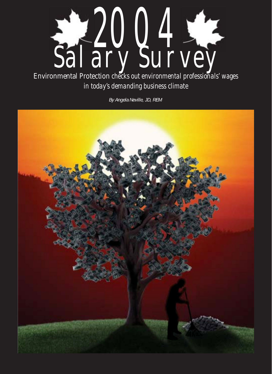

Environmental Protection *checks out environmental professionals' wages in today's demanding business climate*

*By Angela Neville, JD, REM*

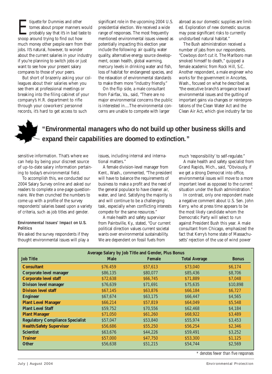*Exampled to Dummies* and other tomes about proper manners<br>probably say that it's in bad ta<br>snoop around trying to find out how tomes about proper manners would probably say that it's in bad taste to snoop around trying to find out how much money other people earn from their jobs. It's natural, however, to wonder about the current salaries in your industry if you're planning to switch jobs or just want to see how your present salary compares to those of your peers.

But short of brazenly asking your colleagues about their salaries when you see them at professional meetings or breaking into the filing cabinet of your company's H.R. department to rifle through your coworkers' personnel records, it's hard to get access to such

significant role in the upcoming 2004 U.S. presidential election. We received a wide range of responses. The most frequently mentioned environmental issues viewed as potentially impacting this election year include the following: air quality, water quality, alternative energy source development, ocean health, global warming, mercury levels in drinking water and fish, loss of habitat for endangered species, and the relaxation of environmental standards to make them more "industry friendly."

On the flip side, a male consultant from Fairfax, Va., said, "There are no major environmental concerns the public is interested in....The environmental concerns are unable to compete with larger

abroad as our domestic supplies are limited. Exploration of new domestic sources may pose significant risks to currently undisturbed natural habitat."

The Bush administration received a number of jabs from our respondents. "Cowboys don't cut it. The Marlboro man smoked himself to death," quipped a female academic from Rock Hill, S.C. Another respondent, a male engineer who works for the government in Ancortes, Wash., focused on what he described as "the executive branch's arrogance toward environmental issues and the gutting of important gains via changes or reinterpretations of the Clean Water Act and the Clean Air Act, which give industry far too



sensitive information. That's where we can help by being your discreet source of up-to-date salary information pertaining to today's environmental field.

To accomplish this, we conducted our 2004 Salary Survey online and asked our readers to complete a one-page questionnaire. We then crunched the numbers to come up with a profile of the survey respondents' salaries based upon a variety of criteria, such as job titles and gender.

#### **Environmental Issues' Impact on U.S. Politics**

We asked the survey respondents if they thought environmental issues will play a

issues, including internal and international matters."

A female division-level manager from Kent., Wash., commented, "The president will have to balance the requirements of business to make a profit and the need of the general populace to have cleaner air, water, and land. Satisfying the majority is and will continue to be a challenging task, especially when conflicting interests compete for the same resources."

A male health and safety supervisor from Paintsville, Ky., stated, "Our current political direction values current societal wants over environmental sustainability. We are dependent on fossil fuels from

much 'responsibility' to self-regulate."

A male health and safety specialist from Grand Rapids, Mich., said, "Obviously, if we get a strong Democrat into office, environmental issues will move to a more important level as opposed to the current situation under the Bush administration."

In contrast, only one respondent made a negative comment about U.S. Sen. John Kerry, who at press time appears to be the most likely candidate whom the Democratic Party will select to run against President Bush this year. A male consultant from Chicago, emphasized the fact that Kerry's home state of Massachusetts' rejection of the use of wind power

| Average Salary by Job Title and Gender, Plus Bonus |             |               |                      |                    |  |  |  |  |
|----------------------------------------------------|-------------|---------------|----------------------|--------------------|--|--|--|--|
| <b>Job Title</b>                                   | <b>Male</b> | <b>Female</b> | <b>Total Average</b> | <b>Bonus</b>       |  |  |  |  |
| <b>Consultant</b>                                  | \$76.459    | \$57,613      | \$73,040             | S <sub>6.174</sub> |  |  |  |  |
| Corporate level manager                            | \$86,135    | \$80,077      | \$85,436             | \$8,706            |  |  |  |  |
| <b>Corporate level staff</b>                       | \$72,638    | \$66,745      | \$71.889             | \$7.048            |  |  |  |  |
| <b>Divison level manager</b>                       | \$76,639    | \$71,691      | \$75,635             | \$10,898           |  |  |  |  |
| <b>Divison level staff</b>                         | \$67,145    | \$63,876      | \$66.184             | S <sub>6.727</sub> |  |  |  |  |
| <b>Engineer</b>                                    | \$67,674    | \$63,175      | \$66,447             | \$4,565            |  |  |  |  |
| <b>Plant Level Manager</b>                         | \$66,214    | \$57.819      | \$64.049             | \$5.548            |  |  |  |  |
| <b>Plant Level Staff</b>                           | \$59,752    | \$70,556      | \$62,468             | \$4,184            |  |  |  |  |
| <b>Plant Manager</b>                               | \$71,050    | \$61,260      | \$68,922             | \$3,489            |  |  |  |  |
| <b>Regulatory Compliance Specialist</b>            | \$57,047    | \$53,840      | \$55,974             | \$3,453            |  |  |  |  |
| <b>Health/Safety Supervisor</b>                    | \$56,686    | \$55,250      | \$56.254             | \$2,346            |  |  |  |  |
| <b>Scientist</b>                                   | \$63,676    | \$44,226      | \$59,491             | \$3,252            |  |  |  |  |
| <b>Trainer</b>                                     | \$57,000    | \$47,750      | \$53,300             | \$1,125            |  |  |  |  |
| <b>Other</b>                                       | \$56,638    | \$51,215      | \$54.744             | \$2,569            |  |  |  |  |

*\* denotes fewer than five responses*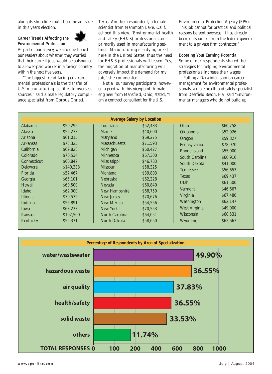along its shoreline could become an issue in this year's election.

### **Career Trends Affecting the Environmental Profession**



As part of our survey, we also questioned our readers about whether they worried that their current jobs would be outsourced to a lower-paid worker in a foreign country within the next five years.

"The biggest trend facing environmental professionals is the transfer of U.S. manufacturing facilities to overseas sources," said a male regulatory compliance specialist from Corpus Christi,

Texas. Another respondent, a female scientist from Mammoth Lake, Calif., echoed this view. "Environmental health and safety (EH&S) professionals are primarily used in manufacturing settings. Manufacturing is a dying breed here in the United States, thus the need for EH&S professionals will lessen. Yes, the migration of manufacturing will adversely impact the demand for my job," she commented.

Not all our survey participants, however, agreed with this viewpoint. A male engineer from Mansfield, Ohio, stated, "I am a contract consultant for the U.S.

Environmental Protection Agency (EPA). This job cannot for practical and political reasons be sent overseas. It has already been 'outsourced' from the federal government to a private firm contractor."

#### **Boosting Your Earning Potential**

Some of our respondents shared their strategies for helping environmental professionals increase their wages.

Putting a Darwinian spin on career management for environmental professionals, a male health and safety specialist from Deerfield Beach, Fla., said "Environmental managers who do not build up

| <b>Average Salary by Location</b> |           |                                      |          |                      |          |  |  |  |  |
|-----------------------------------|-----------|--------------------------------------|----------|----------------------|----------|--|--|--|--|
| Alabama                           | \$59,292  | Louisiana                            | \$52,483 | Ohio                 | \$60,758 |  |  |  |  |
| Alaska                            | \$55,233  | Maine                                | \$40,600 | <b>Oklahoma</b>      | \$52,926 |  |  |  |  |
| Arizona                           | \$61,015  | Maryland                             | \$69,275 | Oregon               | \$59.827 |  |  |  |  |
| <b>Arkansas</b>                   | \$73,325  | <b>Massachusetts</b>                 | \$71,593 | Pennsylvania         | \$78,970 |  |  |  |  |
| California                        | \$69,828  | Michigan                             | \$60,427 | Rhode Island         | \$55,000 |  |  |  |  |
| Colorado                          | \$70,534  | Minnesota                            | \$67,300 | South Carolina       | \$60,916 |  |  |  |  |
| Connecticut                       | \$60.847  | <b>Mississippi</b>                   | \$46,783 | South Dakota         | \$41,000 |  |  |  |  |
| Delaware                          | \$140,333 | <b>Missouri</b>                      | \$58,325 | Tennessee            | \$56,653 |  |  |  |  |
| Florida                           | \$57,467  | Montana<br><b>Nebraska</b><br>Nevada | \$39,803 | <b>Texas</b><br>Utah |          |  |  |  |  |
| Georgia                           | \$65,101  |                                      | \$62,228 |                      | \$69,437 |  |  |  |  |
| Hawaii                            | \$60,500  |                                      | \$60,840 |                      | \$61,500 |  |  |  |  |
| Idaho                             | \$62,000  | New Hampshire                        | \$68,750 | Vermont              | \$46.667 |  |  |  |  |
| <b>Illinois</b>                   | \$70,572  | New Jersey                           | \$70,676 | Virginia             | \$67,480 |  |  |  |  |
| Indiana                           | \$55,891  | New Mexico                           | \$54,556 | Washington           | \$62,147 |  |  |  |  |
| Iowa                              | \$63,273  | New York                             | \$70,553 | West Virginia        | \$49,000 |  |  |  |  |
| Kansas                            | \$102,500 | North Carolina                       | \$64,051 | Wisconsin            | \$60,531 |  |  |  |  |
| Kentucky                          | \$52,371  | North Dakota                         | \$58,650 | Wyoming              | \$62,667 |  |  |  |  |

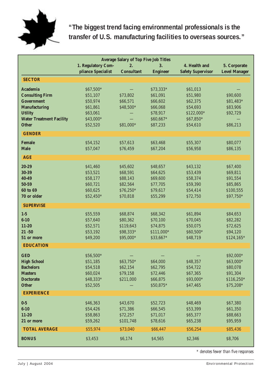

# **"The biggest trend facing environmental professionals is the transfer of U.S. manufacturing facilities to overseas sources."**

|                                           | <b>Average Salary of Top Five Job Titles</b> |                       |                      |                          |                                      |  |  |  |
|-------------------------------------------|----------------------------------------------|-----------------------|----------------------|--------------------------|--------------------------------------|--|--|--|
|                                           | 1. Regulatory Com-                           | 2.                    | 3.                   | 4. Health and            | 5. Corporate<br><b>Level Manager</b> |  |  |  |
|                                           | pliance Specialist                           | <b>Consultant</b>     | <b>Engineer</b>      | <b>Safety Supervisor</b> |                                      |  |  |  |
| <b>SECTOR</b>                             |                                              |                       |                      |                          |                                      |  |  |  |
| <b>Academia</b>                           | \$67,500*                                    |                       | \$73,333*            | \$61,013                 |                                      |  |  |  |
| <b>Consulting Firm</b>                    | \$51,107                                     | \$73,802              | \$61,091             | \$51,980                 | \$90,600                             |  |  |  |
| <b>Government</b><br><b>Manufacturing</b> | \$50,974<br>\$61,861                         | \$66,571<br>\$48,500* | \$66,602<br>\$66,068 | \$62,375<br>\$54,693     | \$81,483*<br>\$83,906                |  |  |  |
| <b>Utility</b>                            | \$63,061                                     |                       | \$78,917             | \$122,000*               | \$92,729                             |  |  |  |
| <b>Water Treatment Facility</b>           | \$43,000*                                    |                       | \$60,667*            | \$67,850*                |                                      |  |  |  |
| <b>Other</b>                              | \$52,520                                     | \$81,000*             | \$87,233             | \$54,610                 | \$86,213                             |  |  |  |
| <b>GENDER</b>                             |                                              |                       |                      |                          |                                      |  |  |  |
| <b>Female</b>                             | \$54,152                                     | \$57,613              | \$63,468             | \$55,307                 | \$80,077                             |  |  |  |
| <b>Male</b>                               | \$57,047                                     | \$76,459              | \$67,204             | \$56,958                 | \$86,135                             |  |  |  |
| <b>AGE</b>                                |                                              |                       |                      |                          |                                      |  |  |  |
|                                           |                                              |                       |                      |                          |                                      |  |  |  |
| 20-29                                     | \$41,460                                     | \$45,602              | \$48,657             | \$43,132                 | \$67,400                             |  |  |  |
| 30-39                                     | \$53,521                                     | \$68,591              | \$64,625             | \$53,439                 | \$69,811                             |  |  |  |
| 40-49<br>50-59                            | \$58,177<br>\$60,721                         | \$88,143<br>\$82,564  | \$69,600<br>\$77,705 | \$58,374<br>\$59,390     | \$91,554<br>\$85,865                 |  |  |  |
| 60 to 69                                  | \$60,625                                     | \$76,250*             | \$79,617             | \$54,414                 | \$100,555                            |  |  |  |
| 70 or older                               | \$52,450*                                    | \$70,818              | \$55,299             | \$72,750                 | \$97,750*                            |  |  |  |
| <b>SUPERVISE</b>                          |                                              |                       |                      |                          |                                      |  |  |  |
| $1-5$                                     | \$55,559                                     | \$68,874              | \$68,342             | \$61,894                 | \$84,653                             |  |  |  |
| $6-10$                                    | \$57,640                                     | \$80,362              | \$70,100             | \$70,045                 | \$82,282                             |  |  |  |
| $11 - 20$                                 | \$52,571                                     | \$119,643             | \$74,875             | \$50,075                 | \$72,625                             |  |  |  |
| $21 - 50$                                 | \$53,192                                     | \$98,333*             | \$111,000*           | \$60,500*                | \$94,120                             |  |  |  |
| 51 or more                                | \$49,200                                     | \$95,000*             | \$33,667*            | \$48,719                 | \$124,165*                           |  |  |  |
| <b>EDUCATION</b>                          |                                              |                       |                      |                          |                                      |  |  |  |
| <b>GED</b>                                | \$56,500*                                    |                       |                      |                          | \$92,000*                            |  |  |  |
| <b>High School</b>                        | \$51,185                                     | \$63,750*             | \$64,000             | \$48,357                 | \$63,000*                            |  |  |  |
| <b>Bachelors</b>                          | \$54,518                                     | \$62,154              | \$62,795             | \$54,722                 | \$80,078                             |  |  |  |
| <b>Masters</b>                            | \$60,024                                     | \$79,158              | \$72,446             | \$67,365                 | \$91,304                             |  |  |  |
| <b>Doctorate</b>                          | \$48,333*                                    | \$211,000             | \$66,875             | \$93,000*                | \$116,250*                           |  |  |  |
| <b>Other</b>                              | \$52,505                                     |                       | \$50,875*            | \$47,465                 | \$75,208*                            |  |  |  |
| <b>EXPERIENCE</b>                         |                                              |                       |                      |                          |                                      |  |  |  |
| $0-5$                                     | \$46,363                                     | \$43,670              | \$52,723             | \$48,469                 | \$67,380                             |  |  |  |
| $6 - 10$                                  | \$54,426                                     | \$71,386              | \$66,545             | \$53,399                 | \$61,350                             |  |  |  |
| $11 - 20$                                 | \$58,863                                     | \$72,257              | \$71,017             | \$65,377                 | \$88,663                             |  |  |  |
| 21 or more                                | \$59,262                                     | \$101,748             | \$78,616             | \$65,238                 | \$95,959                             |  |  |  |
| <b>TOTAL AVERAGE</b>                      | \$55,974                                     | \$73,040              | \$66,447             | \$56,254                 | \$85,436                             |  |  |  |
| <b>BONUS</b>                              | \$3,453                                      | \$6,174               | \$4,565              | \$2,346                  | \$8,706                              |  |  |  |
|                                           |                                              |                       |                      |                          |                                      |  |  |  |

*\* denotes fewer than five responses*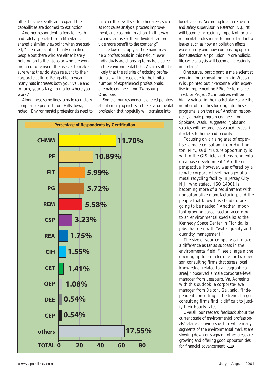other business skills and expand their capabilities are doomed to extinction."

Another respondent, a female health and safety specialist from Maryland, shared a similar viewpoint when she stated, "There are a lot of highly qualified people out there who are either barely holding on to their jobs or who are working hard to reinvent themselves to make sure what they do stays relevant to their corporate culture. Being able to wear many hats increases both your value and, in turn, your salary, no matter where you work."

Along these same lines, a male regulatory compliance specialist from Hills, Iowa, noted, "Environmental professionals need to

increase their skill sets to other areas, such as root cause analysis, process improvement, and cost minimization. In this way, salaries can rise as the individual can provide more benefit to the company."

The law of supply and demand may help professionals in this field. "Fewer individuals are choosing to make a career in the environmental field. As a result, it is likely that the salaries of existing professionals will increase due to the limited number of experienced professionals," a female engineer from Twinsburg, Ohio, said.

Some of our respondents offered pointers about emerging niches in the environmental profession that hopefully will translate into



lucrative jobs. According to a male health and safety supervisor in Paterson, N.J., "It will become increasingly important for environmental professionals to understand intra issues, such as how air pollution affects water quality and how composting operations affection air pollution...More holistic, life cycle analysis will become increasingly important."

One survey participant, a male scientist working for a consulting firm in Wausau, Wis., pointed out, "Personnel with expertise in implementing EPA's Performance Track or Project XL initiatives will be highly valued in the marketplace since the number of facilities looking into these programs is on the rise." Another respondent, a male program engineer from Spokane, Wash., suggested, "Jobs and salaries will become less valued, except if it relates to homeland security."

Focusing on a rising area of expertise, a male consultant from Huntington, N.Y., said, "Future opportunity is within the GIS field and environmental data base development." A different perspective, however, was offered by a female corporate level manager at a metal recycling facility in Jersey City, N.J., who stated, "ISO 14001 is becoming more of a requirement with nonautomotive manufacturing, and the people that know this standard are going to be needed." Another important growing career sector, according to an environmental specialist at the Kennedy Space Center in Florida, is jobs that deal with "water quality and quantity management."

The size of your company can make a difference as far as success in the environmental field. "I see a large niche opening up for smaller one- or two-person consulting firms that stress local knowledge [related to a geographical area]," observed a male corporate-level manager from Leesburg, Va. Agreeing with this outlook, a corporate-level manager from Dalton, Ga., said, "Independent consulting is the trend. Larger consulting firms find it difficult to justify their hourly rates."

Overall, our readers' feedback about the current state of environmental professionals' salaries convinces us that while many segments of the environmental market are slowing down or stagnant, other areas are growing and offering good opportunities for financial advancement.